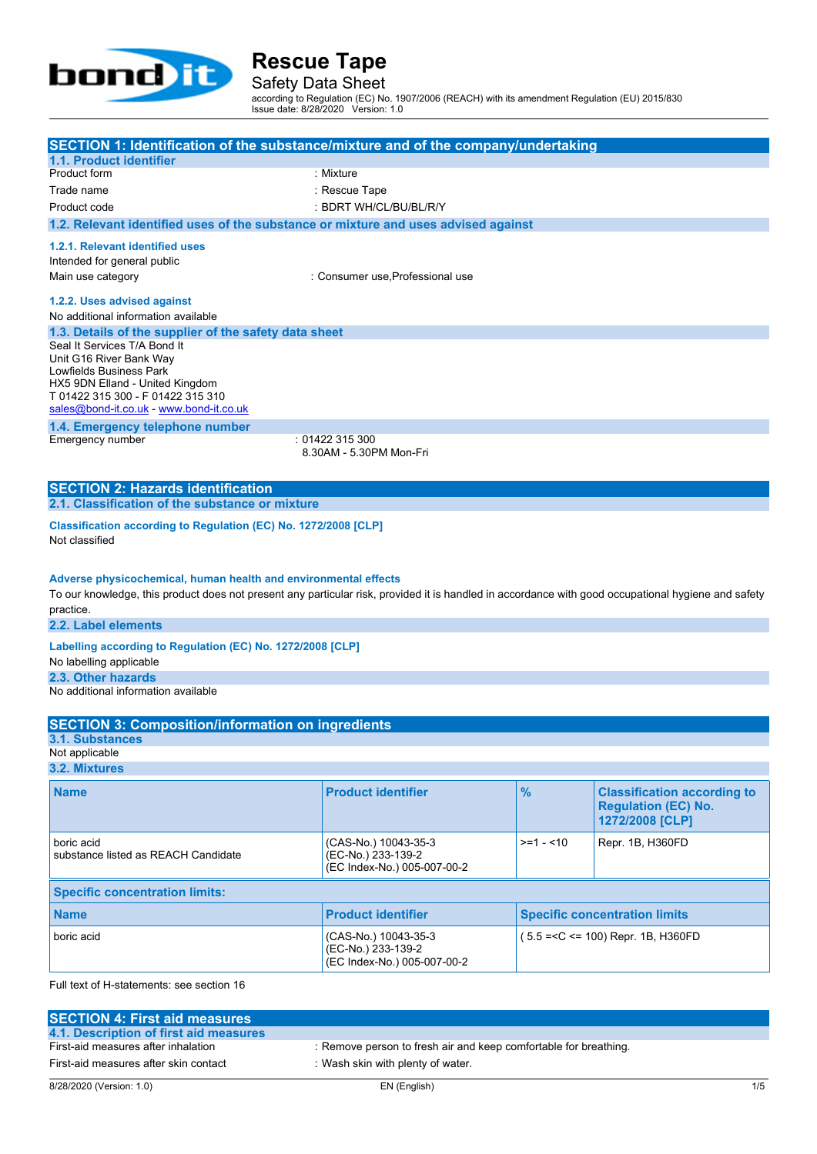

Safety Data Sheet

according to Regulation (EC) No. 1907/2006 (REACH) with its amendment Regulation (EU) 2015/830 Issue date: 8/28/2020 Version: 1.0

| SECTION 1: Identification of the substance/mixture and of the company/undertaking                                                                   |                                                                                    |               |                                        |
|-----------------------------------------------------------------------------------------------------------------------------------------------------|------------------------------------------------------------------------------------|---------------|----------------------------------------|
| 1.1. Product identifier<br>Product form                                                                                                             | : Mixture                                                                          |               |                                        |
| Trade name                                                                                                                                          | : Rescue Tape                                                                      |               |                                        |
| Product code                                                                                                                                        | : BDRT WH/CL/BU/BL/R/Y                                                             |               |                                        |
|                                                                                                                                                     | 1.2. Relevant identified uses of the substance or mixture and uses advised against |               |                                        |
|                                                                                                                                                     |                                                                                    |               |                                        |
| 1.2.1. Relevant identified uses                                                                                                                     |                                                                                    |               |                                        |
| Intended for general public                                                                                                                         |                                                                                    |               |                                        |
| Main use category                                                                                                                                   | : Consumer use, Professional use                                                   |               |                                        |
| 1.2.2. Uses advised against                                                                                                                         |                                                                                    |               |                                        |
| No additional information available                                                                                                                 |                                                                                    |               |                                        |
| 1.3. Details of the supplier of the safety data sheet                                                                                               |                                                                                    |               |                                        |
| Seal It Services T/A Bond It                                                                                                                        |                                                                                    |               |                                        |
| Unit G16 River Bank Way<br>Lowfields Business Park                                                                                                  |                                                                                    |               |                                        |
| HX5 9DN Elland - United Kingdom                                                                                                                     |                                                                                    |               |                                        |
| T 01422 315 300 - F 01422 315 310                                                                                                                   |                                                                                    |               |                                        |
| sales@bond-it.co.uk - www.bond-it.co.uk                                                                                                             |                                                                                    |               |                                        |
| 1.4. Emergency telephone number                                                                                                                     |                                                                                    |               |                                        |
| Emergency number                                                                                                                                    | : 01422 315 300<br>8.30AM - 5.30PM Mon-Fri                                         |               |                                        |
|                                                                                                                                                     |                                                                                    |               |                                        |
| <b>SECTION 2: Hazards identification</b>                                                                                                            |                                                                                    |               |                                        |
| 2.1. Classification of the substance or mixture                                                                                                     |                                                                                    |               |                                        |
|                                                                                                                                                     |                                                                                    |               |                                        |
| Classification according to Regulation (EC) No. 1272/2008 [CLP]                                                                                     |                                                                                    |               |                                        |
| Not classified                                                                                                                                      |                                                                                    |               |                                        |
|                                                                                                                                                     |                                                                                    |               |                                        |
| Adverse physicochemical, human health and environmental effects                                                                                     |                                                                                    |               |                                        |
| To our knowledge, this product does not present any particular risk, provided it is handled in accordance with good occupational hygiene and safety |                                                                                    |               |                                        |
| practice.                                                                                                                                           |                                                                                    |               |                                        |
| 2.2. Label elements                                                                                                                                 |                                                                                    |               |                                        |
| Labelling according to Regulation (EC) No. 1272/2008 [CLP]                                                                                          |                                                                                    |               |                                        |
| No labelling applicable                                                                                                                             |                                                                                    |               |                                        |
| 2.3. Other hazards                                                                                                                                  |                                                                                    |               |                                        |
| No additional information available                                                                                                                 |                                                                                    |               |                                        |
|                                                                                                                                                     |                                                                                    |               |                                        |
| <b>SECTION 3: Composition/information on ingredients</b>                                                                                            |                                                                                    |               |                                        |
| 3.1. Substances<br>Not applicable                                                                                                                   |                                                                                    |               |                                        |
| 3.2. Mixtures                                                                                                                                       |                                                                                    |               |                                        |
|                                                                                                                                                     |                                                                                    |               |                                        |
| <b>Name</b>                                                                                                                                         | <b>Product identifier</b>                                                          | $\frac{9}{6}$ | <b>Classification according to</b>     |
|                                                                                                                                                     |                                                                                    |               | <b>Regulation (EC) No.</b>             |
|                                                                                                                                                     |                                                                                    |               | 1272/2008 [CLP]                        |
| boric acid                                                                                                                                          | (CAS-No.) 10043-35-3                                                               | $>=1 - 10$    | Repr. 1B, H360FD                       |
| substance listed as REACH Candidate                                                                                                                 | (EC-No.) 233-139-2                                                                 |               |                                        |
|                                                                                                                                                     | (EC Index-No.) 005-007-00-2                                                        |               |                                        |
| <b>Specific concentration limits:</b>                                                                                                               |                                                                                    |               |                                        |
| <b>Name</b>                                                                                                                                         | <b>Product identifier</b>                                                          |               | <b>Specific concentration limits</b>   |
| boric acid                                                                                                                                          |                                                                                    |               |                                        |
|                                                                                                                                                     | (CAS-No.) 10043-35-3<br>(EC-No.) 233-139-2                                         |               | $(5.5 = < C \le 100)$ Repr. 1B, H360FD |

Full text of H-statements: see section 16

| <b>SECTION 4: First aid measures</b>   |                                                                  |     |
|----------------------------------------|------------------------------------------------------------------|-----|
| 4.1. Description of first aid measures |                                                                  |     |
| First-aid measures after inhalation    | : Remove person to fresh air and keep comfortable for breathing. |     |
| First-aid measures after skin contact  | : Wash skin with plenty of water.                                |     |
| 8/28/2020 (Version: 1.0)               | EN (English)                                                     | 1/5 |

(EC Index-No.) 005-007-00-2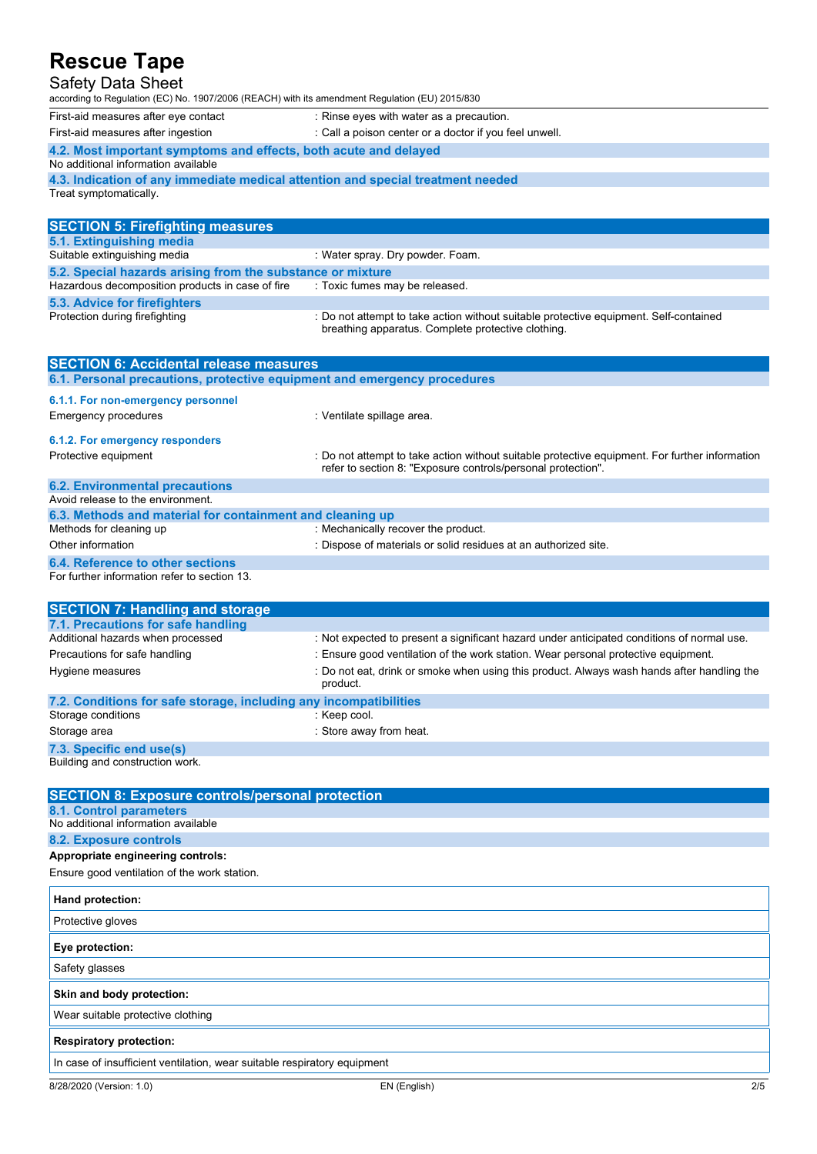| <b>Safety Data Sheet</b><br>according to Regulation (EC) No. 1907/2006 (REACH) with its amendment Regulation (EU) 2015/830 |                                                                                                                                                                |
|----------------------------------------------------------------------------------------------------------------------------|----------------------------------------------------------------------------------------------------------------------------------------------------------------|
| First-aid measures after eye contact                                                                                       | : Rinse eyes with water as a precaution.                                                                                                                       |
| First-aid measures after ingestion                                                                                         | : Call a poison center or a doctor if you feel unwell.                                                                                                         |
| 4.2. Most important symptoms and effects, both acute and delayed                                                           |                                                                                                                                                                |
| No additional information available                                                                                        |                                                                                                                                                                |
| 4.3. Indication of any immediate medical attention and special treatment needed                                            |                                                                                                                                                                |
| Treat symptomatically.                                                                                                     |                                                                                                                                                                |
| <b>SECTION 5: Firefighting measures</b>                                                                                    |                                                                                                                                                                |
| 5.1. Extinguishing media                                                                                                   |                                                                                                                                                                |
| Suitable extinguishing media                                                                                               | : Water spray. Dry powder. Foam.                                                                                                                               |
| 5.2. Special hazards arising from the substance or mixture                                                                 |                                                                                                                                                                |
| Hazardous decomposition products in case of fire                                                                           | : Toxic fumes may be released.                                                                                                                                 |
| 5.3. Advice for firefighters                                                                                               |                                                                                                                                                                |
| Protection during firefighting                                                                                             | : Do not attempt to take action without suitable protective equipment. Self-contained<br>breathing apparatus. Complete protective clothing.                    |
|                                                                                                                            |                                                                                                                                                                |
|                                                                                                                            |                                                                                                                                                                |
| <b>SECTION 6: Accidental release measures</b><br>6.1. Personal precautions, protective equipment and emergency procedures  |                                                                                                                                                                |
|                                                                                                                            |                                                                                                                                                                |
| 6.1.1. For non-emergency personnel<br><b>Emergency procedures</b>                                                          | : Ventilate spillage area.                                                                                                                                     |
|                                                                                                                            |                                                                                                                                                                |
| 6.1.2. For emergency responders<br>Protective equipment                                                                    | : Do not attempt to take action without suitable protective equipment. For further information<br>refer to section 8: "Exposure controls/personal protection". |
| <b>6.2. Environmental precautions</b>                                                                                      |                                                                                                                                                                |
| Avoid release to the environment.                                                                                          |                                                                                                                                                                |
| 6.3. Methods and material for containment and cleaning up                                                                  |                                                                                                                                                                |
| Methods for cleaning up                                                                                                    | : Mechanically recover the product.                                                                                                                            |
| Other information                                                                                                          | : Dispose of materials or solid residues at an authorized site.                                                                                                |
| 6.4. Reference to other sections<br>For further information refer to section 13.                                           |                                                                                                                                                                |

| <b>SECTION 7: Handling and storage</b>                            |                                                                                                        |
|-------------------------------------------------------------------|--------------------------------------------------------------------------------------------------------|
| 7.1. Precautions for safe handling                                |                                                                                                        |
| Additional hazards when processed                                 | : Not expected to present a significant hazard under anticipated conditions of normal use.             |
| Precautions for safe handling                                     | : Ensure good ventilation of the work station. Wear personal protective equipment.                     |
| Hygiene measures                                                  | : Do not eat, drink or smoke when using this product. Always wash hands after handling the<br>product. |
| 7.2. Conditions for safe storage, including any incompatibilities |                                                                                                        |
| Storage conditions                                                | : Keep cool.                                                                                           |
| Storage area                                                      | : Store away from heat.                                                                                |
| 7.3. Specific end use(s)                                          |                                                                                                        |
|                                                                   |                                                                                                        |

8/28/2020 (Version: 1.0) EN (English) 2/5 Building and construction work. **SECTION 8: Exposure controls/personal protection 8.1. Control parameters** No additional information available **8.2. Exposure controls Appropriate engineering controls:** Ensure good ventilation of the work station. **Hand protection:** Protective gloves **Eye protection:** Safety glasses **Skin and body protection:** Wear suitable protective clothing **Respiratory protection:** In case of insufficient ventilation, wear suitable respiratory equipment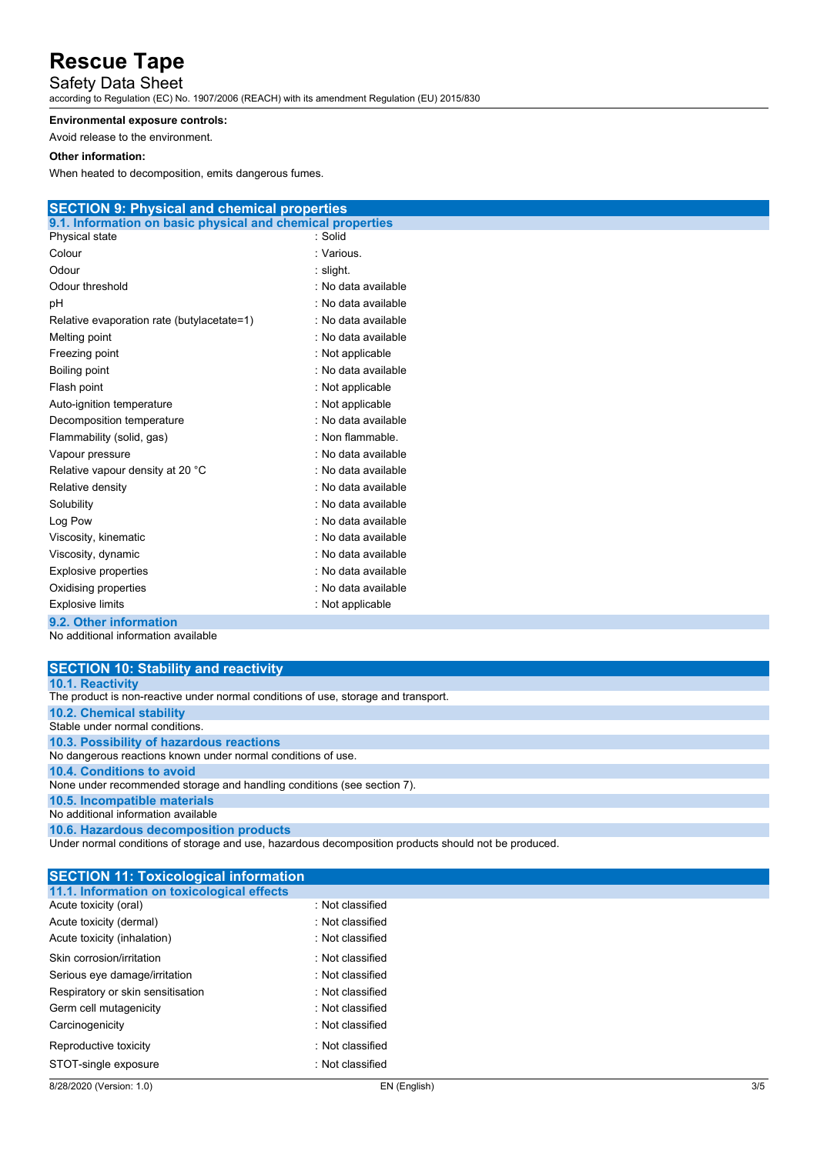#### Safety Data Sheet

according to Regulation (EC) No. 1907/2006 (REACH) with its amendment Regulation (EU) 2015/830

#### **Environmental exposure controls:**

Avoid release to the environment.

#### **Other information:**

When heated to decomposition, emits dangerous fumes.

| <b>SECTION 9: Physical and chemical properties</b>         |                     |
|------------------------------------------------------------|---------------------|
| 9.1. Information on basic physical and chemical properties |                     |
| Physical state                                             | : Solid             |
| Colour                                                     | : Various.          |
| Odour                                                      | : slight.           |
| Odour threshold                                            | : No data available |
| pH                                                         | : No data available |
| Relative evaporation rate (butylacetate=1)                 | : No data available |
| Melting point                                              | : No data available |
| Freezing point                                             | : Not applicable    |
| Boiling point                                              | : No data available |
| Flash point                                                | : Not applicable    |
| Auto-ignition temperature                                  | : Not applicable    |
| Decomposition temperature                                  | : No data available |
| Flammability (solid, gas)                                  | : Non flammable.    |
| Vapour pressure                                            | : No data available |
| Relative vapour density at 20 °C                           | : No data available |
| Relative density                                           | : No data available |
| Solubility                                                 | : No data available |
| Log Pow                                                    | : No data available |
| Viscosity, kinematic                                       | : No data available |
| Viscosity, dynamic                                         | : No data available |
| Explosive properties                                       | : No data available |
| Oxidising properties                                       | : No data available |
| <b>Explosive limits</b>                                    | : Not applicable    |
| 9.2. Other information                                     |                     |

No additional information available

| <b>SECTION 10: Stability and reactivity</b>                                                          |
|------------------------------------------------------------------------------------------------------|
| 10.1. Reactivity                                                                                     |
| The product is non-reactive under normal conditions of use, storage and transport.                   |
| 10.2. Chemical stability                                                                             |
| Stable under normal conditions.                                                                      |
| 10.3. Possibility of hazardous reactions                                                             |
| No dangerous reactions known under normal conditions of use.                                         |
| 10.4. Conditions to avoid                                                                            |
| None under recommended storage and handling conditions (see section 7).                              |
| 10.5. Incompatible materials                                                                         |
| No additional information available                                                                  |
| 10.6. Hazardous decomposition products                                                               |
| Under normal conditions of storage and use, hazardous decomposition products should not be produced. |

| <b>SECTION 11: Toxicological information</b> |                  |
|----------------------------------------------|------------------|
| 11.1. Information on toxicological effects   |                  |
| Acute toxicity (oral)                        | . Not classified |
| Acute toxicity (dermal)                      | · Not classified |
| Acute toxicity (inhalation)                  | · Not classified |
| Skin corrosion/irritation                    | Not classified   |
| Serious eye damage/irritation                | Not classified   |
| Respiratory or skin sensitisation            | Not classified   |
| Germ cell mutagenicity                       | Not classified   |
| Carcinogenicity                              | Not classified   |
| Reproductive toxicity                        | Not classified   |
| STOT-single exposure                         | . Not classified |
|                                              |                  |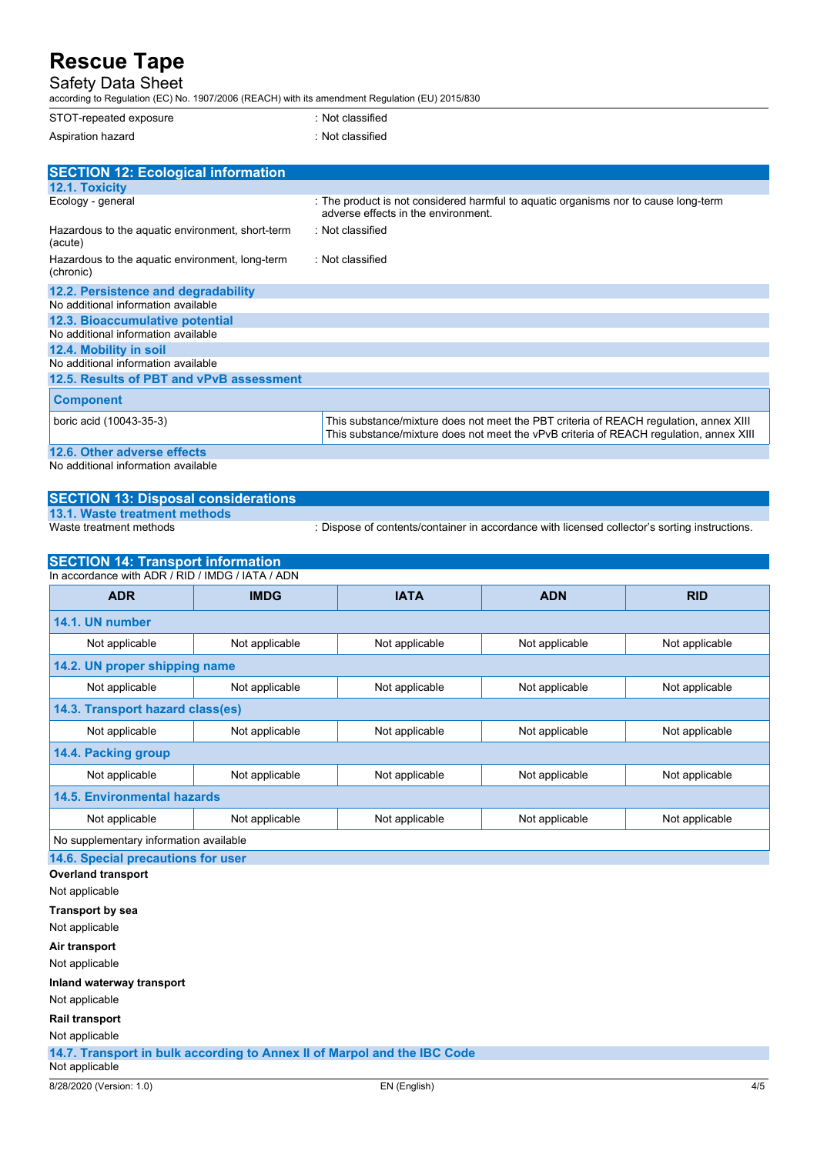### Safety Data Sheet

according to Regulation (EC) No. 1907/2006 (REACH) with its amendment Regulation (EU) 2015/830

| STOT-repeated exposure | : Not classified |
|------------------------|------------------|
| Aspiration hazard      | : Not classified |

| <b>SECTION 12: Ecological information</b>                    |                                                                                                                                                                                 |
|--------------------------------------------------------------|---------------------------------------------------------------------------------------------------------------------------------------------------------------------------------|
| <b>12.1. Toxicity</b>                                        |                                                                                                                                                                                 |
| Ecology - general                                            | : The product is not considered harmful to aquatic organisms nor to cause long-term<br>adverse effects in the environment.                                                      |
| Hazardous to the aquatic environment, short-term<br>(acute)  | : Not classified                                                                                                                                                                |
| Hazardous to the aquatic environment, long-term<br>(chronic) | : Not classified                                                                                                                                                                |
| 12.2. Persistence and degradability                          |                                                                                                                                                                                 |
| No additional information available                          |                                                                                                                                                                                 |
| 12.3. Bioaccumulative potential                              |                                                                                                                                                                                 |
| No additional information available                          |                                                                                                                                                                                 |
| 12.4. Mobility in soil                                       |                                                                                                                                                                                 |
| No additional information available                          |                                                                                                                                                                                 |
| 12.5. Results of PBT and vPvB assessment                     |                                                                                                                                                                                 |
| <b>Component</b>                                             |                                                                                                                                                                                 |
| boric acid (10043-35-3)                                      | This substance/mixture does not meet the PBT criteria of REACH regulation, annex XIII<br>This substance/mixture does not meet the vPvB criteria of REACH requlation, annex XIII |
| 12.6. Other adverse effects                                  |                                                                                                                                                                                 |
| No additional information available                          |                                                                                                                                                                                 |

#### **SECTION 13: Disposal considerations**

**13.1. Waste treatment methods**

: Dispose of contents/container in accordance with licensed collector's sorting instructions.

| <b>SECTION 14: Transport information</b>         |                |                |                |                |
|--------------------------------------------------|----------------|----------------|----------------|----------------|
| In accordance with ADR / RID / IMDG / IATA / ADN |                |                |                |                |
| <b>ADR</b>                                       | <b>IMDG</b>    | <b>IATA</b>    | <b>ADN</b>     | <b>RID</b>     |
| 14.1. UN number                                  |                |                |                |                |
| Not applicable                                   | Not applicable | Not applicable | Not applicable | Not applicable |
| 14.2. UN proper shipping name                    |                |                |                |                |
| Not applicable                                   | Not applicable | Not applicable | Not applicable | Not applicable |
| 14.3. Transport hazard class(es)                 |                |                |                |                |
| Not applicable                                   | Not applicable | Not applicable | Not applicable | Not applicable |
| 14.4. Packing group                              |                |                |                |                |
| Not applicable                                   | Not applicable | Not applicable | Not applicable | Not applicable |
| <b>14.5. Environmental hazards</b>               |                |                |                |                |
| Not applicable                                   | Not applicable | Not applicable | Not applicable | Not applicable |
| No supplementary information available           |                |                |                |                |

**14.6. Special precautions for user**

**Overland transport**

Not applicable

**Transport by sea** Not applicable

**Air transport**

Not applicable

**Inland waterway transport**

Not applicable

**Rail transport**

Not applicable

**14.7. Transport in bulk according to Annex II of Marpol and the IBC Code** Not applicable